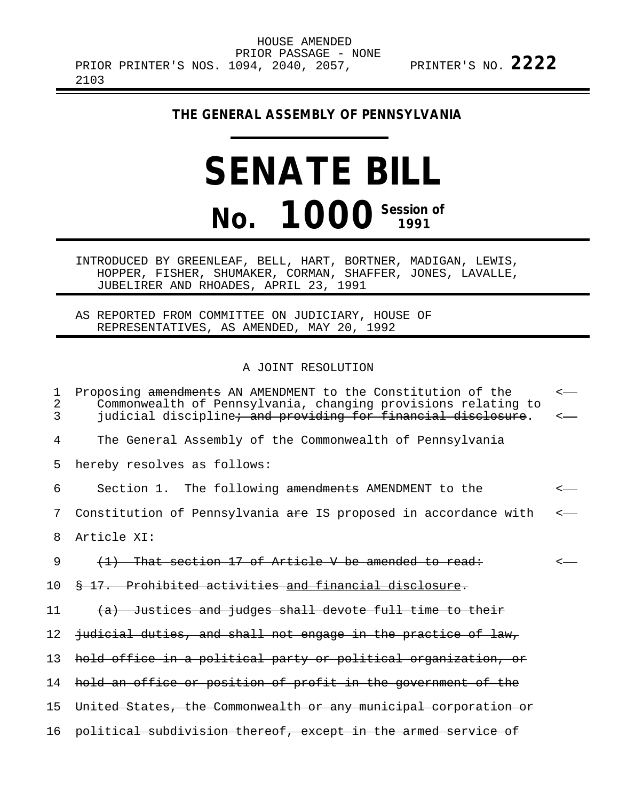**THE GENERAL ASSEMBLY OF PENNSYLVANIA**

# **SENATE BILL No. 1000 Session of**

INTRODUCED BY GREENLEAF, BELL, HART, BORTNER, MADIGAN, LEWIS, HOPPER, FISHER, SHUMAKER, CORMAN, SHAFFER, JONES, LAVALLE, JUBELIRER AND RHOADES, APRIL 23, 1991

AS REPORTED FROM COMMITTEE ON JUDICIARY, HOUSE OF REPRESENTATIVES, AS AMENDED, MAY 20, 1992

#### A JOINT RESOLUTION

| $\mathbf 1$<br>$\overline{2}$<br>3 | Proposing amendments AN AMENDMENT to the Constitution of the<br>Commonwealth of Pennsylvania, changing provisions relating to<br>judicial discipline <del>; and providing for financial disclosure</del> . | $\overline{\phantom{a}}$<br><— |
|------------------------------------|------------------------------------------------------------------------------------------------------------------------------------------------------------------------------------------------------------|--------------------------------|
| 4                                  | The General Assembly of the Commonwealth of Pennsylvania                                                                                                                                                   |                                |
| 5                                  | hereby resolves as follows:                                                                                                                                                                                |                                |
| 6                                  | Section 1. The following amendments AMENDMENT to the                                                                                                                                                       |                                |
| 7                                  | Constitution of Pennsylvania are IS proposed in accordance with                                                                                                                                            |                                |
| 8                                  | Article XI:                                                                                                                                                                                                |                                |
| 9                                  | (1) That section 17 of Article V be amended to read:                                                                                                                                                       |                                |
| 10                                 | \$ 17. Prohibited activities and financial disclosure.                                                                                                                                                     |                                |
| 11                                 | (a) Justices and judges shall devote full time to their                                                                                                                                                    |                                |
| 12                                 | judicial duties, and shall not engage in the practice of law,                                                                                                                                              |                                |
| 13                                 | hold office in a political party or political organization, or                                                                                                                                             |                                |
| 14                                 | hold an office or position of profit in the government of the                                                                                                                                              |                                |
| 15                                 | United States, the Commonwealth or any municipal corporation or                                                                                                                                            |                                |
| 16                                 | political subdivision thereof, except in the armed service of                                                                                                                                              |                                |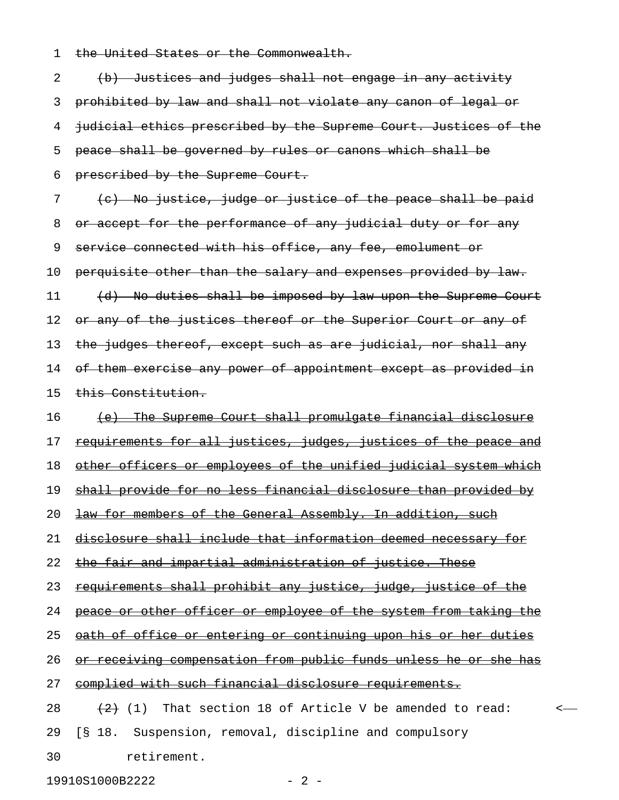1 the United States or the Commonwealth.

2 (b) Justices and judges shall not engage in any activity 3 prohibited by law and shall not violate any canon of legal or 4 judicial ethics prescribed by the Supreme Court. Justices of the 5 peace shall be governed by rules or canons which shall be 6 prescribed by the Supreme Court. 7 (c) No justice, judge or justice of the peace shall be paid 8 or accept for the performance of any judicial duty or for any 9 service connected with his office, any fee, emolument or 10 perquisite other than the salary and expenses provided by law. 11 (d) No duties shall be imposed by law upon the Supreme Court 12 or any of the justices thereof or the Superior Court or any of 13 the judges thereof, except such as are judicial, nor shall any 14 of them exercise any power of appointment except as provided in 15 this Constitution. 16 (e) The Supreme Court shall promulgate financial disclosure 17 requirements for all justices, judges, justices of the peace and 18 other officers or employees of the unified judicial system which 19 shall provide for no less financial disclosure than provided by 20 <del>law for members of the General Assembly. In addition, such</del> 21 disclosure shall include that information deemed necessary for 22 the fair and impartial administration of justice. These 23 requirements shall prohibit any justice, judge, justice of the 24 peace or other officer or employee of the system from taking the 25 oath of office or entering or continuing upon his or her duties 26 or receiving compensation from public funds unless he or she has 27 complied with such financial disclosure requirements. 28  $(2)$  (1) That section 18 of Article V be amended to read:  $\leftarrow$ 29 [§ 18. Suspension, removal, discipline and compulsory

30 retirement.

19910S1000B2222 - 2 -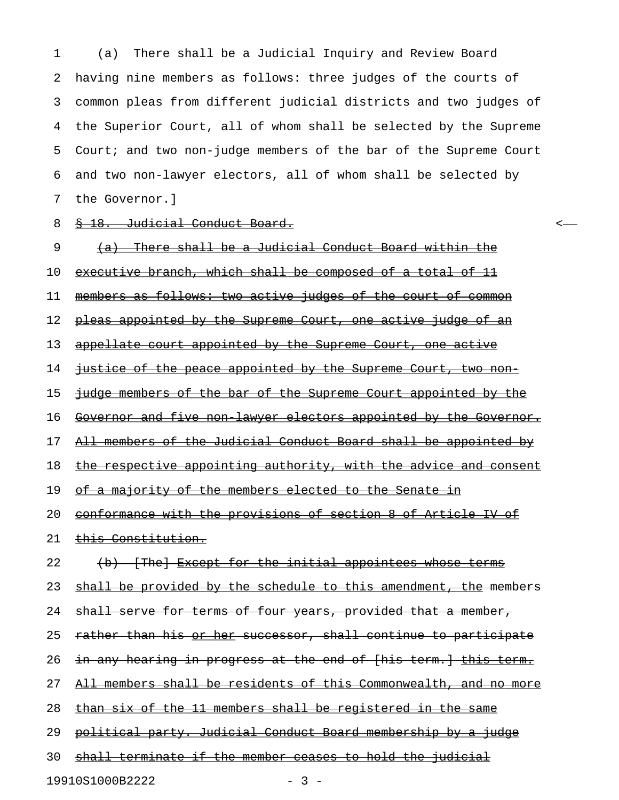1 (a) There shall be a Judicial Inquiry and Review Board 2 having nine members as follows: three judges of the courts of 3 common pleas from different judicial districts and two judges of 4 the Superior Court, all of whom shall be selected by the Supreme 5 Court; and two non-judge members of the bar of the Supreme Court 6 and two non-lawyer electors, all of whom shall be selected by 7 the Governor.]

#### 8 § 18. Judicial Conduct Board.

9 (a) There shall be a Judicial Conduct Board within the 10 executive branch, which shall be composed of a total of 11 11 members as follows: two active judges of the court of common 12 pleas appointed by the Supreme Court, one active judge of an 13 appellate court appointed by the Supreme Court, one active 14 justice of the peace appointed by the Supreme Court, two non-15 judge members of the bar of the Supreme Court appointed by the 16 Governor and five non lawyer electors appointed by the Governor. 17 All members of the Judicial Conduct Board shall be appointed by 18 the respective appointing authority, with the advice and consent 19 of a majority of the members elected to the Senate in 20 conformance with the provisions of section 8 of Article IV of 21 this Constitution. 22 (b) [The] Except for the initial appointees whose terms 23 shall be provided by the schedule to this amendment, the members 24 shall serve for terms of four years, provided that a member, 25 rather than his or her successor, shall continue to participate 26 in any hearing in progress at the end of [his term.] this term. 27 All members shall be residents of this Commonwealth, and no more 28 than six of the 11 members shall be registered in the same 29 political party. Judicial Conduct Board membership by a judge 30 shall terminate if the member ceases to hold the judicial

19910S1000B2222 - 3 -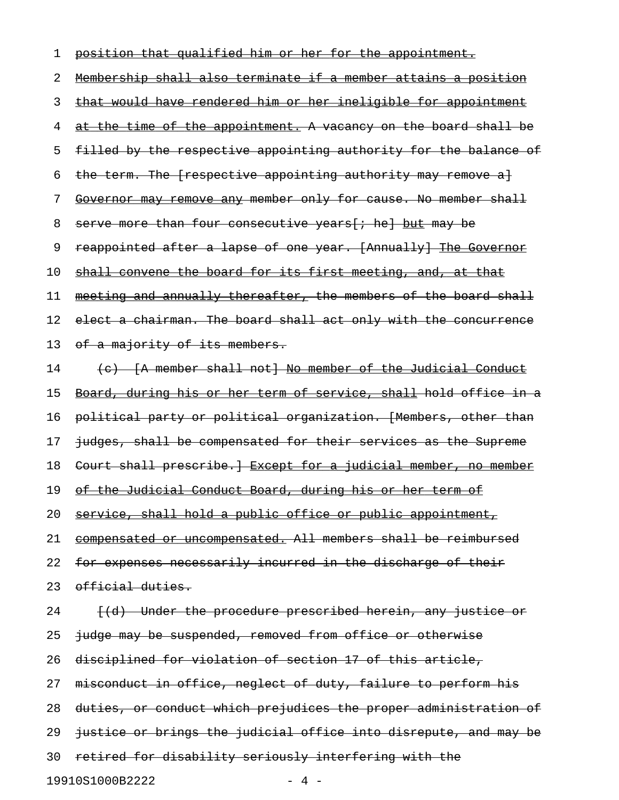## 1 position that qualified him or her for the appointment. 2 Membership shall also terminate if a member attains a position 3 that would have rendered him or her ineligible for appointment 4 at the time of the appointment. A vacancy on the board shall be 5 filled by the respective appointing authority for the balance of 6 the term. The [respective appointing authority may remove a] 7 Governor may remove any member only for cause. No member shall 8 serve more than four consecutive years [; he] but may be 9 reappointed after a lapse of one year. [Annually] The Governor 10 shall convene the board for its first meeting, and, at that 11 meeting and annually thereafter, the members of the board shall 12 elect a chairman. The board shall act only with the concurrence 13 of a majority of its members. 14 (c) [A member shall not] No member of the Judicial Conduct 15 Board, during his or her term of service, shall hold office in a 16 political party or political organization. [Members, other than 17 judges, shall be compensated for their services as the Supreme 18 Court shall prescribe. HExcept for a judicial member, no member 19 of the Judicial Conduct Board, during his or her term of 20 service, shall hold a public office or public appointment, 21 compensated or uncompensated. All members shall be reimbursed 22 for expenses necessarily incurred in the discharge of their 23 official duties. 24 [(d) Under the procedure prescribed herein, any justice or 25 judge may be suspended, removed from office or otherwise 26 disciplined for violation of section 17 of this article, 27 misconduct in office, neglect of duty, failure to perform his 28 duties, or conduct which prejudices the proper administration of 29 justice or brings the judicial office into disrepute, and may be 30 retired for disability seriously interfering with the

19910S1000B2222 - 4 -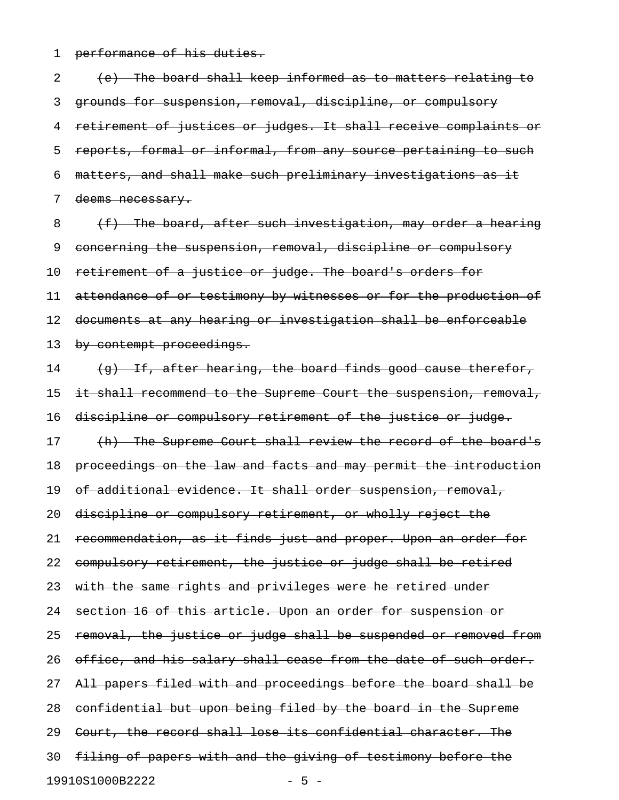1 performance of his duties.

2 (e) The board shall keep informed as to matters relating to 3 grounds for suspension, removal, discipline, or compulsory 4 retirement of justices or judges. It shall receive complaints or 5 reports, formal or informal, from any source pertaining to such 6 matters, and shall make such preliminary investigations as it 7 deems necessary.

 $8$  (f) The board, after such investigation, may order a hearing 9 concerning the suspension, removal, discipline or compulsory 10 retirement of a justice or judge. The board's orders for 11 attendance of or testimony by witnesses or for the production of 12 documents at any hearing or investigation shall be enforceable 13 by contempt proceedings.

14 (g) If, after hearing, the board finds good cause therefor, 15 it shall recommend to the Supreme Court the suspension, removal, 16 discipline or compulsory retirement of the justice or judge. 17 (h) The Supreme Court shall review the record of the board's 18 proceedings on the law and facts and may permit the introduction 19 of additional evidence. It shall order suspension, removal, 20 discipline or compulsory retirement, or wholly reject the 21 recommendation, as it finds just and proper. Upon an order for 22 compulsory retirement, the justice or judge shall be retired 23 with the same rights and privileges were he retired under 24 section 16 of this article. Upon an order for suspension or 25 removal, the justice or judge shall be suspended or removed from 26 office, and his salary shall cease from the date of such order. 27 All papers filed with and proceedings before the board shall be 28 confidential but upon being filed by the board in the Supreme 29 Court, the record shall lose its confidential character. The 30 filing of papers with and the giving of testimony before the 19910S1000B2222 - 5 -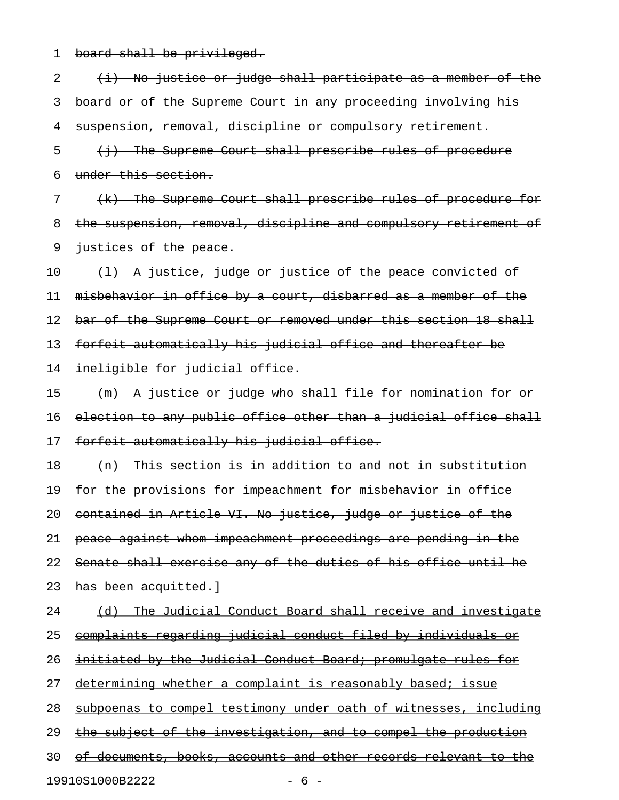1 board shall be privileged.

 $2$   $(i)$  No justice or judge shall participate as a member of the 3 board or of the Supreme Court in any proceeding involving his 4 suspension, removal, discipline or compulsory retirement. 5 (i) The Supreme Court shall prescribe rules of procedure 6 under this section. 7 (k) The Supreme Court shall prescribe rules of procedure for 8 the suspension, removal, discipline and compulsory retirement of 9 justices of the peace.  $10$  (1) A justice, judge or justice of the peace convicted of 11 misbehavior in office by a court, disbarred as a member of the 12 bar of the Supreme Court or removed under this section 18 shall 13 forfeit automatically his judicial office and thereafter be 14 ineligible for judicial office. 15 (m) A justice or judge who shall file for nomination for or 16 election to any public office other than a judicial office shall 17 forfeit automatically his judicial office. 18 (n) This section is in addition to and not in substitution 19 for the provisions for impeachment for misbehavior in office 20 contained in Article VI. No justice, judge or justice of the 21 peace against whom impeachment proceedings are pending in the 22 Senate shall exercise any of the duties of his office until he 23 has been acquitted. 24 (d) The Judicial Conduct Board shall receive and investigate 25 complaints regarding judicial conduct filed by individuals or 26 initiated by the Judicial Conduct Board; promulgate rules for 27 determining whether a complaint is reasonably based; issue 28 subpoenas to compel testimony under oath of witnesses, including 29 the subject of the investigation, and to compel the production 30 of documents, books, accounts and other records relevant to the 19910S1000B2222 - 6 -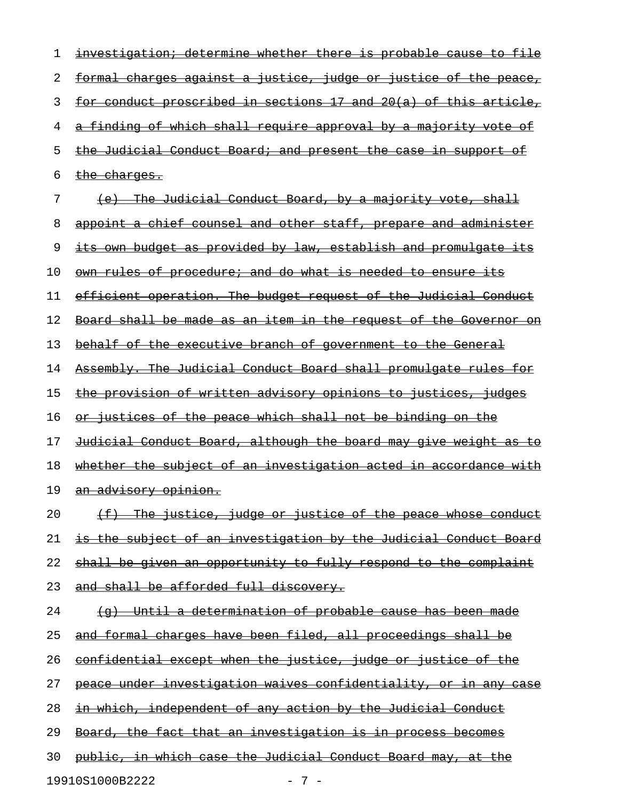| 1  | investigation; determine whether there is probable cause to file                      |
|----|---------------------------------------------------------------------------------------|
| 2  | <u>charges against a justice, judge or justice of the peace,</u><br><del>formal</del> |
| 3  | for conduct proscribed in sections 17 and 20(a) of this article,                      |
| 4  | a finding of which shall require approval by a majority vote of                       |
| 5  | the Judicial Conduct Board; and present the case in support<br>−o£                    |
| 6  | the charges.                                                                          |
| 7  | The Judicial Conduct Board, by a majority vote, shall<br><del>(e)</del>               |
| 8  | appoint a chief counsel and other staff, prepare and administer                       |
| 9  | <u>its own budget as provided by law, establish and promulgate its</u>                |
| 10 | own rules of procedure; and do what is needed to ensure its                           |
| 11 | efficient operation. The budget request of the Judicial Conduct                       |
| 12 | <u>Board shall be made as an item in the request of the Governor on</u>               |
| 13 | behalf of the executive branch of government to the General                           |
| 14 | Assembly. The Judicial Conduct Board shall promulgate rules for                       |
| 15 | the provision of written advisory opinions to justices, judges                        |
| 16 | or justices of the peace which shall not be binding on the                            |
| 17 | <u>Judicial Conduct Board, although the board may give weight as to</u>               |
| 18 | whether the subject of an investigation acted in accordance with                      |
| 19 | <del>an advisory opinion.</del>                                                       |
| 20 | The justice, judge or justice of the peace whose conduct<br>$(f + f)$                 |
| 21 | is the subject of an investigation by the Judicial Conduct Board                      |
| 22 | shall be given an opportunity to fully respond to the complaint                       |
| 23 | and shall be afforded full discovery.                                                 |
| 24 | Until a determination of probable cause has been made<br><del>(q)</del>               |
| 25 | and formal charges have been filed, all proceedings shall be                          |
| 26 | confidential except when the justice, judge or justice of the                         |
| 27 | peace under investigation waives confidentiality, or in any case                      |
| 28 | <u>in which, independent of any action by the Judicial Conduct</u>                    |
| 29 | <u>Board, the fact that an investigation is in process becomes</u>                    |
| 30 | <u>public, in which case the Judicial Conduct Board may, at the</u>                   |
|    | 19910S1000B2222<br>$-7-$                                                              |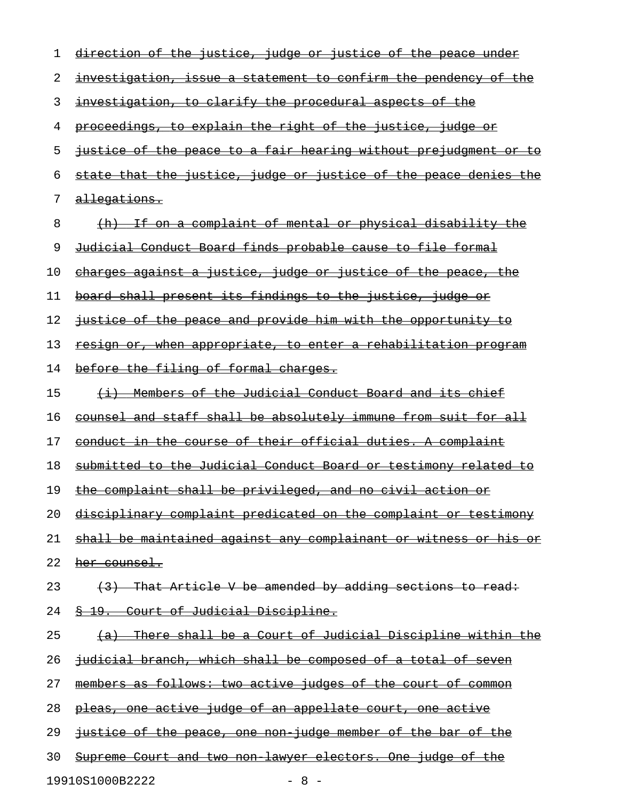| 1  | direction of the justice, judge or justice of the peace under           |
|----|-------------------------------------------------------------------------|
| 2  | <u>investigation, issue a statement to confirm the pendency of the</u>  |
| 3  | <u>investigation, to clarify the procedural aspects of the</u>          |
| 4  | <u>proceedings, to explain the right of the justice, judge or</u>       |
| 5  | <u>justice of the peace to a fair hearing without prejudgment or to</u> |
| 6  | <u>state that the justice, judge or justice of the peace denies the</u> |
| 7  | <u>allegations.</u>                                                     |
| 8  | <u>(h) If on a complaint of mental or physical disability the</u>       |
| 9  | <u>Judicial Conduct Board finds probable cause to file formal</u>       |
| 10 | <u>charges against a justice, judge or justice of the peace, the</u>    |
| 11 | board shall present its findings to the justice, judge or               |
| 12 | justice of the peace and provide him with the opportunity to            |
| 13 | resign or, when appropriate, to enter a rehabilitation program          |
| 14 | before the filing of formal charges.                                    |
| 15 | <u>(i) Members of the Judicial Conduct Board and its chief</u>          |
| 16 | <u>counsel and staff shall be absolutely immune from suit for all</u>   |
| 17 | conduct in the course of their official duties. A complaint             |
| 18 | <u>submitted to the Judicial Conduct Board or testimony related to</u>  |
| 19 | the complaint shall be privileged, and no civil action or               |
| 20 | disciplinary complaint predicated on the complaint or testimony         |
| 21 | <u>shall be maintained against any complainant or witness or his or</u> |
| 22 | her counsel.                                                            |
| 23 | (3) That Article V be amended by adding sections to read:               |
| 24 | 8 19. Court of Judicial Discipline.                                     |
| 25 | (a) There shall be a Court of Judicial Discipline within the            |
| 26 | <u>judicial branch, which shall be composed of a total of seven</u>     |
| 27 | members as follows: two active judges of the court of common            |
| 28 | pleas, one active judge of an appellate court, one active               |
| 29 | justice of the peace, one non judge member of the bar of the            |
| 30 | <u>Supreme Court and two non lawyer electors. One judge of the </u>     |

19910S1000B2222 - 8 -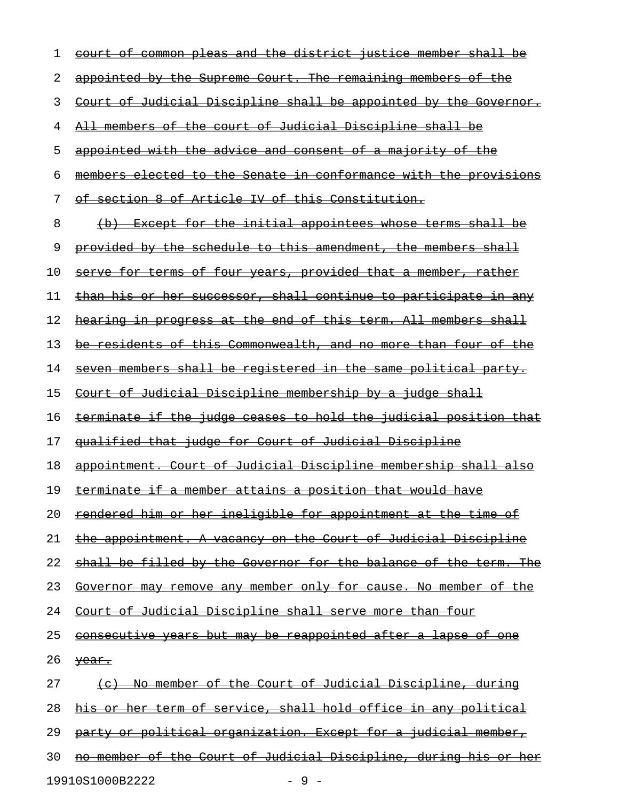|    | common pleas and the district<br>member shall<br><del>iustice</del><br>−o±<br><del>court-</del> |
|----|-------------------------------------------------------------------------------------------------|
| 2  | appointed by the Supreme Court. The remaining members of the                                    |
| 3  | Court of Judicial Discipline shall be appointed by the Governor.                                |
| 4  | All members of the court of Judicial Discipline shall be                                        |
| 5  | appointed with the advice and consent of a majority of the                                      |
| 6  | members elected to the Senate in conformance with the provisions                                |
| 7  | of section 8 of Article IV of this Constitution.                                                |
| 8  | (b) Except for the initial appointees whose terms shall be                                      |
| 9  | provided by the schedule to this amendment, the members shall                                   |
| 10 | serve for terms of four years, provided that a member, rather                                   |
| 11 | than his or her successor, shall continue to participate in any                                 |
| 12 | hearing in progress at the end of this term. All members shall                                  |
| 13 | be residents of this Commonwealth, and no more than four of the                                 |
| 14 | seven members shall be registered in the same political party.                                  |
| 15 | Court of Judicial Discipline membership by a judge shall                                        |
| 16 | terminate if the judge ceases to hold the judicial position that                                |
| 17 | qualified that judge for Court of Judicial Discipline                                           |
| 18 | appointment. Court of Judicial Discipline membership shall also                                 |
| 19 | terminate if a member attains a position that would have                                        |
| 20 | <u>rendered him or her ineligible for appointment at the time of </u>                           |
| 21 | <u>the appointment. A vacancy on the Court of Judicial Discipline</u>                           |
| 22 | shall be filled by the Governor for the balance of the term. The                                |
| 23 | Governor may remove any member only for cause. No member of the                                 |
| 24 | <u>Court of Judicial Discipline shall serve more than four</u>                                  |
| 25 | <u>consecutive years but may be reappointed after a lapse of one</u>                            |
| 26 | year.                                                                                           |
| 27 | (c) No member of the Court of Judicial Discipline, during                                       |
| 28 | his or her term of service, shall hold office in any political                                  |
| 29 | party or political organization. Except for a judicial member,                                  |
| 30 | no member of the Court of Judicial Discipline, during his or her                                |

19910S1000B2222 - 9 -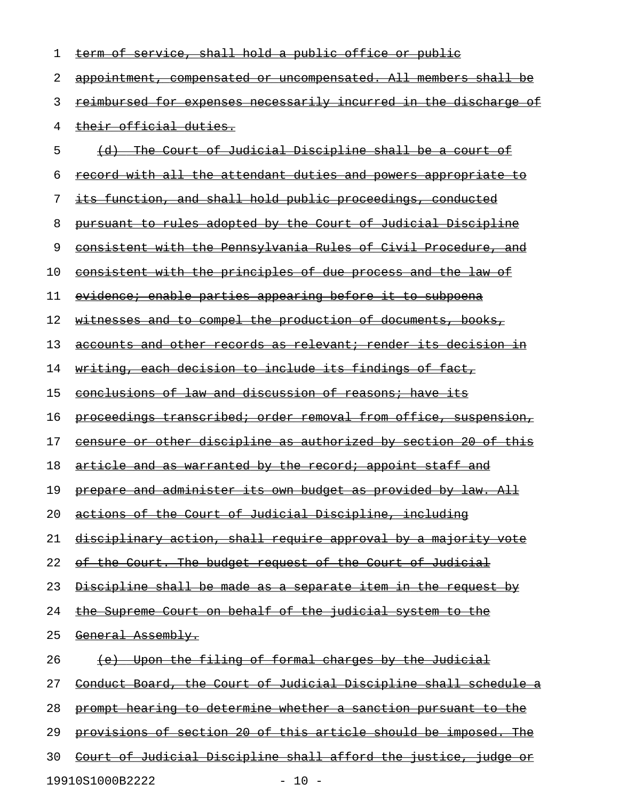| 1  | term of service, shall hold a public office or public                   |
|----|-------------------------------------------------------------------------|
| 2  | appointment, compensated or uncompensated. All members shall be         |
| 3  | <u>reimbursed for expenses necessarily incurred in the discharge of</u> |
| 4  | <del>their official duties.</del>                                       |
| 5  | (d) The Court of Judicial Discipline shall be a court of                |
| 6  | record with all the attendant duties and powers appropriate to          |
| 7  | its function, and shall hold public proceedings, conducted              |
| 8  | pursuant to rules adopted by the Court of Judicial Discipline           |
| 9  | consistent with the Pennsylvania Rules of Civil Procedure, and          |
| 10 | consistent with the principles of due process and the law of            |
| 11 | evidence; enable parties appearing before it to subpoena                |
| 12 | <u>witnesses and to compel the production of documents, books, </u>     |
| 13 | <u>accounts and other records as relevant; render its decision in</u>   |
| 14 | writing, each decision to include its findings of fact,                 |
| 15 | conclusions of law and discussion of reasons; have its                  |
| 16 | proceedings transcribed; order removal from office, suspension,         |
| 17 | censure or other discipline as authorized by section 20 of this         |
| 18 | <u>article and as warranted by the record; appoint staff and</u>        |
| 19 | <u>prepare and administer its own budget as provided by law. All</u>    |
| 20 | actions of the Court of Judicial Discipline, including                  |
| 21 | disciplinary action, shall require approval by a majority vote          |
| 22 | <u>of the Court. The budget request of the Court of Judicial</u>        |
| 23 | <u>Discipline shall be made as a separate item in the request by</u>    |
| 24 | <u>the Supreme Court on behalf of the judicial system to the</u>        |
| 25 | General Assembly.                                                       |
| 26 | <u>(e) Upon the filing of formal charges by the Judicial</u>            |
| 27 | Conduct Board, the Court of Judicial Discipline shall schedule a        |
| 28 | prompt hearing to determine whether a sanction pursuant to the          |
| 29 | provisions of section 20 of this article should be imposed. The         |
| 30 | Court of Judicial Discipline shall afford the justice, judge or         |
|    | 19910S1000B2222<br>$-10 -$                                              |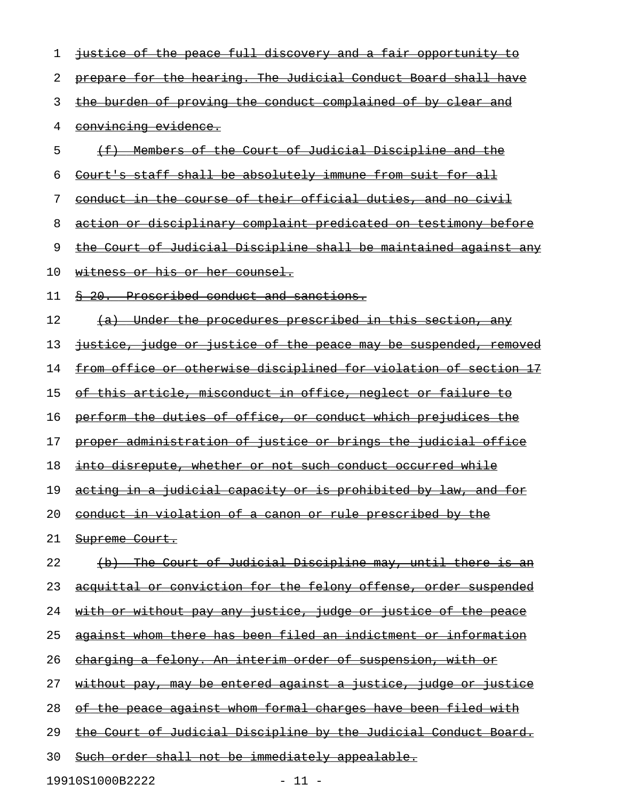| ı  | justice of the peace full discovery and a fair opportunity to          |
|----|------------------------------------------------------------------------|
| 2  | prepare for the hearing. The Judicial Conduct Board shall have         |
| 3  | the burden of proving the conduct complained of by clear and           |
| 4  | convincing evidence.                                                   |
| 5  | Members of the Court of Judicial Discipline and the                    |
| 6  | Court's staff shall be absolutely immune from suit for all             |
| 7  | conduct in the course of their official duties, and no civil           |
| 8  | action or disciplinary complaint predicated on testimony before        |
| 9  | the Court of Judicial Discipline shall be maintained against any       |
| 10 | <u>witness or his or her counsel.</u>                                  |
| 11 | Proscribed conduct and sanctions.<br>$\frac{8}{9}$ 20.                 |
| 12 | (a) Under the procedures prescribed in this section, any               |
| 13 | justice, judge or justice of the peace may be suspended, removed       |
| 14 | from office or otherwise disciplined for violation of section 17       |
| 15 | <u>of this article, misconduct in office, neglect or failure to</u>    |
| 16 | perform the duties of office, or conduct which prejudices the          |
| 17 | proper administration of justice or brings the judicial office         |
| 18 | into disrepute, whether or not such conduct occurred while             |
| 19 | acting in a judicial capacity or is prohibited by law, and for         |
| 20 | conduct in violation of a canon or rule prescribed by the              |
| 21 | Supreme Court.                                                         |
| 22 | (b) The Court of Judicial Discipline may, until there is an            |
| 23 | acquittal or conviction for the felony offense, order suspended        |
| 24 | <u>with or without pay any justice, judge or justice of the peace</u>  |
| 25 | against whom there has been filed an indictment or information         |
| 26 | charging a felony. An interim order of suspension, with or             |
| 27 | <u>without pay, may be entered against a justice, judge or justice</u> |
| 28 | of the peace against whom formal charges have been filed with          |
| 29 | the Court of Judicial Discipline by the Judicial Conduct Board.        |
| 30 | Such order shall not be immediately appealable.                        |
|    |                                                                        |

19910S1000B2222 - 11 -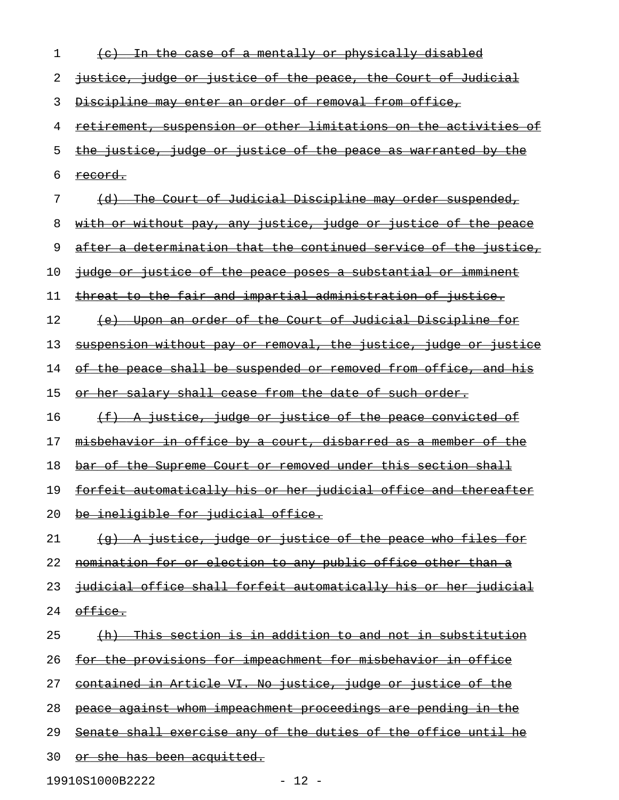| 1  | <u>In the case of a mentally or physically disabled</u>                        |
|----|--------------------------------------------------------------------------------|
| 2  | justice, judge or justice of the peace, the Court of Judicial                  |
| 3  | Discipline may enter an order of removal from office,                          |
| 4  | <u>retirement, suspension or other limitations on the activities of</u>        |
| 5  | the justice, judge or justice of the peace as warranted by the                 |
| 6  | <u>record.</u>                                                                 |
| 7  | <u>The Court of Judicial Discipline may order suspended,</u><br><del>(d)</del> |
| 8  | <u>with or without pay, any justice, judge or justice of the peace</u>         |
| 9  | after a determination that the continued service of the justice,               |
| 10 | judge or justice of the peace poses a substantial or imminent                  |
| 11 | <u>threat to the fair and impartial administration of justice.</u>             |
| 12 | (e) Upon an order of the Court of Judicial Discipline for                      |
| 13 | <u>suspension without pay or removal, the justice, judge or justice</u>        |
| 14 | of the peace shall be suspended or removed from office, and his                |
| 15 | or her salary shall cease from the date of such order.                         |
| 16 | <u>(f) A justice, judge or justice of the peace convicted of</u>               |
| 17 | misbehavior in office by a court, disbarred as a member of the                 |
| 18 | bar of the Supreme Court or removed under this section shall                   |
| 19 | forfeit automatically his or her judicial office and thereafter                |
| 20 | be ineligible for judicial office.                                             |
| 21 | (g) A justice, judge or justice of the peace who files for                     |
| 22 | nomination for or election to any public office other than a                   |
| 23 | judicial office shall forfeit automatically his or her judicial                |
| 24 | office.                                                                        |
| 25 | <u> {h}  This section is in addition to and not in substitution</u>            |
| 26 | for the provisions for impeachment for misbehavior in office                   |
| 27 | contained in Article VI. No justice, judge or justice of the                   |
| 28 | <u>peace against whom impeachment proceedings are pending in the</u>           |
| 29 | Senate shall exercise any of the duties of the office until he                 |
| 30 | or she has been acquitted.                                                     |

19910S1000B2222 - 12 -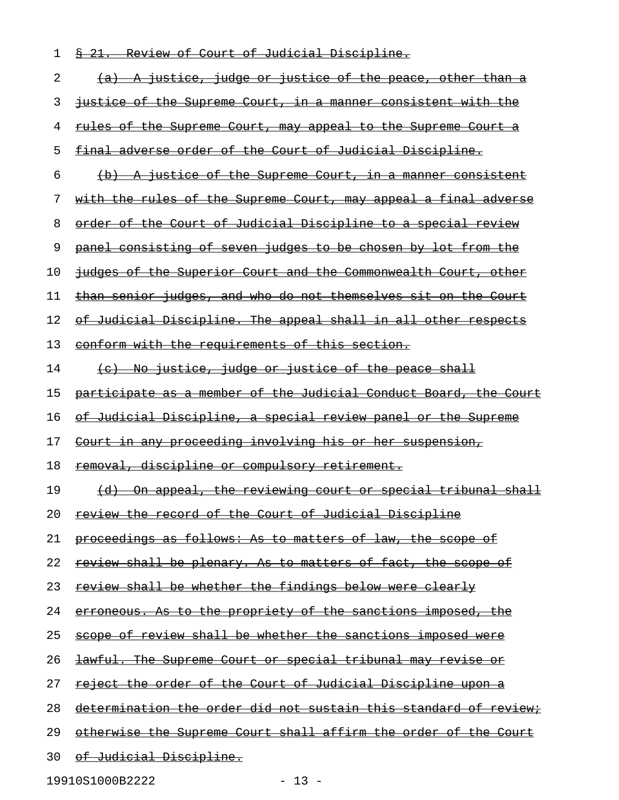| <u> § 21. Review of Court of Judicial Discipline.</u>                  |
|------------------------------------------------------------------------|
| (a) A justice, judge or justice of the peace, other than a             |
| <u>justice of the Supreme Court, in a manner consistent with the </u>  |
| <u>rules of the Supreme Court, may appeal to the Supreme Court a</u>   |
| final adverse order of the Court of Judicial Discipline.               |
| (b) A justice of the Supreme Court, in a manner consistent             |
| <u>with the rules of the Supreme Court, may appeal a final adverse</u> |
| order of the Court of Judicial Discipline to a special review          |
| panel consisting of seven judges to be chosen by lot from the          |
| judges of the Superior Court and the Commonwealth Court, other         |
| than senior judges, and who do not themselves sit on the Court         |
| of Judicial Discipline. The appeal shall in all other respects         |
| <u>conform with the requirements of this section.</u>                  |
| (c) No justice, judge or justice of the peace shall                    |
| participate as a member of the Judicial Conduct Board, the Court       |
| of Judicial Discipline, a special review panel or the Supreme          |
| <u>Court in any proceeding involving his or her suspension,</u>        |
| removal, discipline or compulsory retirement.                          |
| (d) On appeal, the reviewing court or special tribunal shall           |
| review the record of the Court of Judicial Discipline                  |
| proceedings as follows: As to matters of law, the scope of             |
| review shall be plenary. As to matters of fact, the scope of           |
| review shall be whether the findings below were clearly                |
| erroneous. As to the propriety of the sanctions imposed, the           |
| scope of review shall be whether the sanctions imposed were            |
| lawful. The Supreme Court or special tribunal may revise or            |
| reject the order of the Court of Judicial Discipline upon a            |
| determination the order did not sustain this standard of review;       |
| otherwise the Supreme Court shall affirm the order of the Court        |
|                                                                        |

30 of Judicial Discipline.

19910S1000B2222 - 13 -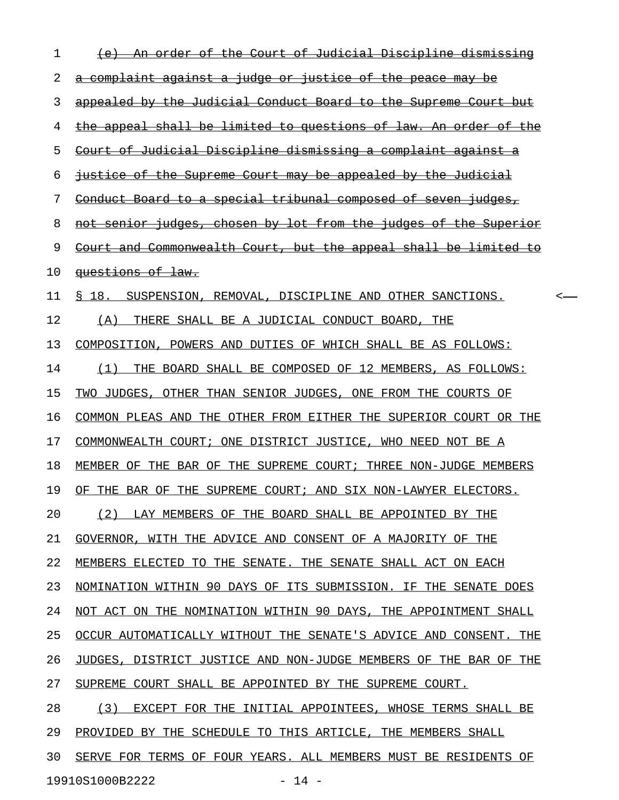| 1  | An order of the Court of Judicial Discipline dismissing          |  |
|----|------------------------------------------------------------------|--|
| 2  | a complaint against a judge or justice of the peace may be       |  |
| 3  | appealed by the Judicial Conduct Board to the Supreme Court but  |  |
| 4  | the appeal shall be limited to questions of law. An order of the |  |
| 5  | Court of Judicial Discipline dismissing a complaint against a    |  |
| 6  | justice of the Supreme Court may be appealed by the Judicial     |  |
| 7  | Conduct Board to a special tribunal composed of seven judges,    |  |
| 8  | not senior judges, chosen by lot from the judges of the Superior |  |
| 9  | Court and Commonwealth Court, but the appeal shall be limited to |  |
| 10 | questions of law.                                                |  |
| 11 | S 18.<br>SUSPENSION, REMOVAL, DISCIPLINE AND OTHER SANCTIONS.    |  |
| 12 | (A)<br>THERE SHALL BE A JUDICIAL CONDUCT BOARD,<br>THE           |  |
| 13 | COMPOSITION, POWERS AND DUTIES OF WHICH SHALL BE AS FOLLOWS:     |  |
| 14 | THE BOARD SHALL BE COMPOSED OF 12 MEMBERS, AS FOLLOWS:<br>(1)    |  |
| 15 | TWO JUDGES, OTHER THAN SENIOR JUDGES, ONE FROM THE COURTS OF     |  |
| 16 | COMMON PLEAS AND THE OTHER FROM EITHER THE SUPERIOR COURT OR THE |  |
| 17 | COMMONWEALTH COURT; ONE DISTRICT JUSTICE, WHO NEED NOT BE A      |  |
| 18 | MEMBER OF THE BAR OF THE SUPREME COURT; THREE NON-JUDGE MEMBERS  |  |
| 19 | OF THE BAR OF THE SUPREME COURT; AND SIX NON-LAWYER ELECTORS.    |  |
| 20 | (2) LAY MEMBERS OF THE BOARD SHALL BE APPOINTED BY THE           |  |
| 21 | GOVERNOR, WITH THE ADVICE AND CONSENT OF A MAJORITY OF THE       |  |
| 22 | MEMBERS ELECTED TO THE SENATE. THE SENATE SHALL ACT ON EACH      |  |
| 23 | NOMINATION WITHIN 90 DAYS OF ITS SUBMISSION. IF THE SENATE DOES  |  |
| 24 | NOT ACT ON THE NOMINATION WITHIN 90 DAYS, THE APPOINTMENT SHALL  |  |
| 25 | OCCUR AUTOMATICALLY WITHOUT THE SENATE'S ADVICE AND CONSENT. THE |  |
| 26 | JUDGES, DISTRICT JUSTICE AND NON-JUDGE MEMBERS OF THE BAR OF THE |  |
| 27 | SUPREME COURT SHALL BE APPOINTED BY THE SUPREME COURT.           |  |
| 28 | (3) EXCEPT FOR THE INITIAL APPOINTEES, WHOSE TERMS SHALL BE      |  |
| 29 | PROVIDED BY THE SCHEDULE TO THIS ARTICLE, THE MEMBERS SHALL      |  |
| 30 | SERVE FOR TERMS OF FOUR YEARS. ALL MEMBERS MUST BE RESIDENTS OF  |  |
|    |                                                                  |  |

19910S1000B2222 - 14 -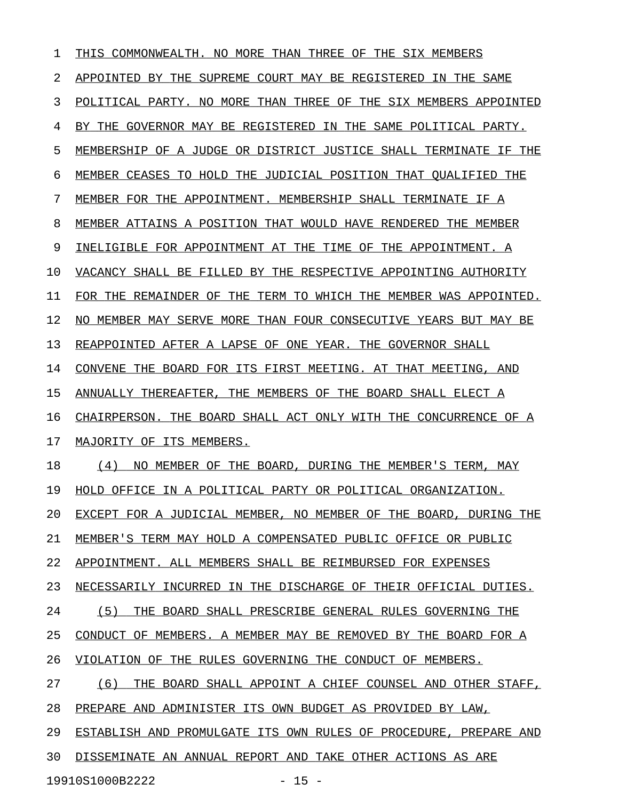| ı  | THIS COMMONWEALTH.<br>NO MORE<br>THAN THREE<br>THE SIX MEMBERS<br>OF    |
|----|-------------------------------------------------------------------------|
| 2  | APPOINTED BY THE SUPREME COURT MAY BE REGISTERED<br>IN THE SAME         |
| 3  | POLITICAL PARTY. NO MORE THAN THREE OF THE SIX MEMBERS APPOINTED        |
| 4  | BY THE GOVERNOR MAY BE REGISTERED IN THE SAME POLITICAL PARTY.          |
| 5  | MEMBERSHIP OF A JUDGE OR DISTRICT JUSTICE SHALL TERMINATE<br>TF.<br>THE |
| 6  | MEMBER CEASES TO HOLD THE JUDICIAL POSITION THAT OUALIFIED THE          |
| 7  | MEMBER FOR THE APPOINTMENT. MEMBERSHIP SHALL TERMINATE IF A             |
| 8  | MEMBER ATTAINS A POSITION THAT WOULD HAVE RENDERED THE MEMBER           |
| 9  | INELIGIBLE FOR APPOINTMENT AT THE TIME OF THE APPOINTMENT. A            |
| 10 | VACANCY SHALL BE FILLED BY THE RESPECTIVE APPOINTING AUTHORITY          |
| 11 | FOR THE REMAINDER OF THE TERM TO WHICH THE MEMBER WAS APPOINTED.        |
| 12 | NO MEMBER MAY SERVE MORE THAN FOUR CONSECUTIVE YEARS BUT MAY BE         |
| 13 | REAPPOINTED AFTER A LAPSE OF ONE YEAR. THE GOVERNOR SHALL               |
| 14 | CONVENE THE BOARD FOR ITS FIRST MEETING. AT THAT MEETING, AND           |
| 15 | ANNUALLY THEREAFTER, THE MEMBERS OF THE BOARD SHALL ELECT A             |
| 16 | CHAIRPERSON. THE BOARD SHALL ACT ONLY WITH THE CONCURRENCE OF A         |
| 17 | MAJORITY OF ITS MEMBERS.                                                |
| 18 | NO MEMBER OF THE BOARD, DURING THE MEMBER'S TERM, MAY<br>(4)            |
| 19 | HOLD OFFICE IN A POLITICAL PARTY OR POLITICAL ORGANIZATION.             |
| 20 | EXCEPT FOR A JUDICIAL MEMBER, NO MEMBER OF THE BOARD, DURING THE        |
| 21 | MEMBER'S TERM MAY HOLD A COMPENSATED PUBLIC OFFICE OR PUBLIC            |
| 22 | APPOINTMENT. ALL MEMBERS SHALL BE REIMBURSED FOR EXPENSES               |
| 23 | NECESSARILY INCURRED IN THE DISCHARGE OF THEIR OFFICIAL DUTIES.         |
| 24 | (5) THE BOARD SHALL PRESCRIBE GENERAL RULES GOVERNING THE               |
| 25 | CONDUCT OF MEMBERS. A MEMBER MAY BE REMOVED BY THE BOARD FOR A          |
| 26 | VIOLATION OF THE RULES GOVERNING THE CONDUCT OF MEMBERS.                |
| 27 | (6) THE BOARD SHALL APPOINT A CHIEF COUNSEL AND OTHER STAFF,            |
| 28 | PREPARE AND ADMINISTER ITS OWN BUDGET AS PROVIDED BY LAW,               |
| 29 | ESTABLISH AND PROMULGATE ITS OWN RULES OF PROCEDURE, PREPARE AND        |
| 30 | DISSEMINATE AN ANNUAL REPORT AND TAKE OTHER ACTIONS AS ARE              |
|    |                                                                         |

19910S1000B2222 - 15 -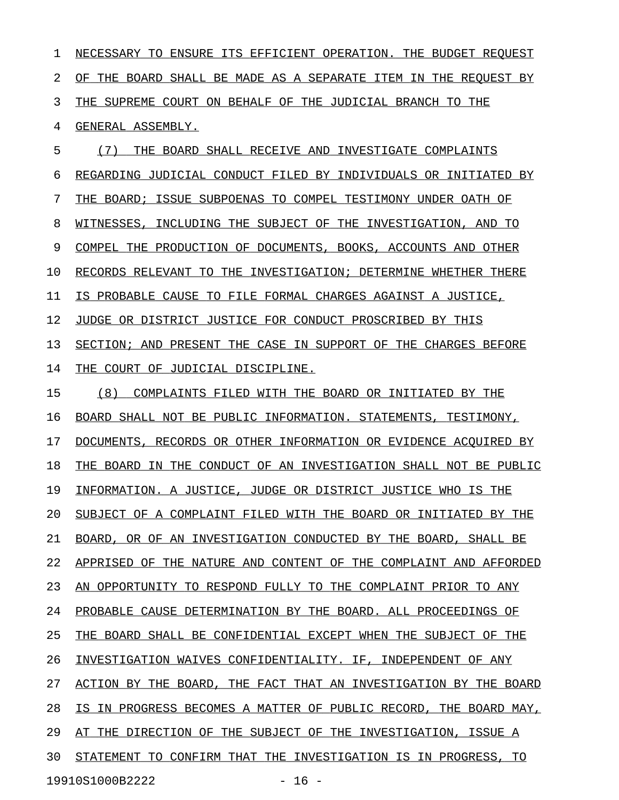1 NECESSARY TO ENSURE ITS EFFICIENT OPERATION. THE BUDGET REQUEST 2 OF THE BOARD SHALL BE MADE AS A SEPARATE ITEM IN THE REQUEST BY 3 THE SUPREME COURT ON BEHALF OF THE JUDICIAL BRANCH TO THE 4 GENERAL ASSEMBLY. 5 (7) THE BOARD SHALL RECEIVE AND INVESTIGATE COMPLAINTS 6 REGARDING JUDICIAL CONDUCT FILED BY INDIVIDUALS OR INITIATED BY 7 THE BOARD; ISSUE SUBPOENAS TO COMPEL TESTIMONY UNDER OATH OF 8 WITNESSES, INCLUDING THE SUBJECT OF THE INVESTIGATION, AND TO 9 COMPEL THE PRODUCTION OF DOCUMENTS, BOOKS, ACCOUNTS AND OTHER 10 RECORDS RELEVANT TO THE INVESTIGATION; DETERMINE WHETHER THERE 11 IS PROBABLE CAUSE TO FILE FORMAL CHARGES AGAINST A JUSTICE, 12 JUDGE OR DISTRICT JUSTICE FOR CONDUCT PROSCRIBED BY THIS 13 SECTION; AND PRESENT THE CASE IN SUPPORT OF THE CHARGES BEFORE 14 THE COURT OF JUDICIAL DISCIPLINE. 15 (8) COMPLAINTS FILED WITH THE BOARD OR INITIATED BY THE 16 BOARD SHALL NOT BE PUBLIC INFORMATION. STATEMENTS, TESTIMONY, 17 DOCUMENTS, RECORDS OR OTHER INFORMATION OR EVIDENCE ACOUIRED BY 18 THE BOARD IN THE CONDUCT OF AN INVESTIGATION SHALL NOT BE PUBLIC 19 INFORMATION. A JUSTICE, JUDGE OR DISTRICT JUSTICE WHO IS THE 20 SUBJECT OF A COMPLAINT FILED WITH THE BOARD OR INITIATED BY THE 21 BOARD, OR OF AN INVESTIGATION CONDUCTED BY THE BOARD, SHALL BE 22 APPRISED OF THE NATURE AND CONTENT OF THE COMPLAINT AND AFFORDED 23 AN OPPORTUNITY TO RESPOND FULLY TO THE COMPLAINT PRIOR TO ANY 24 PROBABLE CAUSE DETERMINATION BY THE BOARD. ALL PROCEEDINGS OF 25 THE BOARD SHALL BE CONFIDENTIAL EXCEPT WHEN THE SUBJECT OF THE 26 INVESTIGATION WAIVES CONFIDENTIALITY. IF, INDEPENDENT OF ANY 27 ACTION BY THE BOARD, THE FACT THAT AN INVESTIGATION BY THE BOARD 28 IS IN PROGRESS BECOMES A MATTER OF PUBLIC RECORD, THE BOARD MAY,

29 AT THE DIRECTION OF THE SUBJECT OF THE INVESTIGATION, ISSUE A

30 STATEMENT TO CONFIRM THAT THE INVESTIGATION IS IN PROGRESS, TO

19910S1000B2222 - 16 -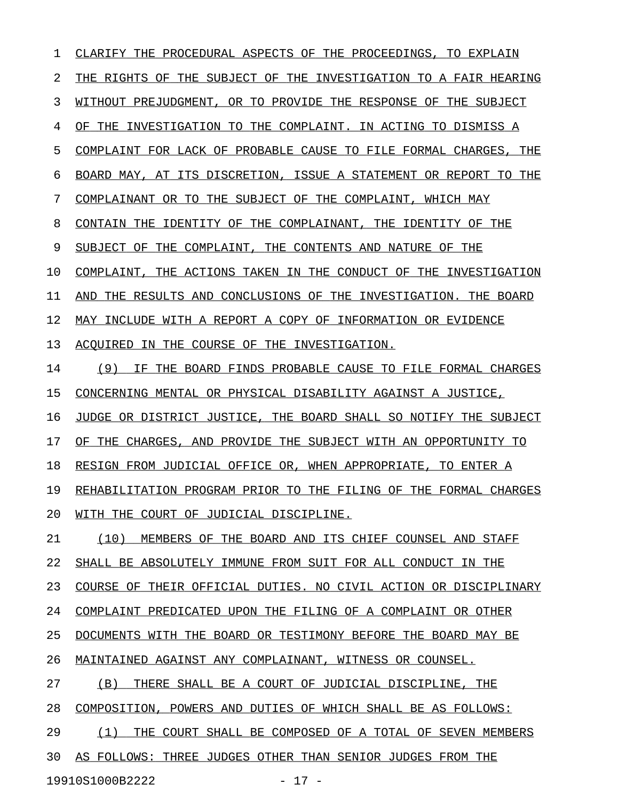1 CLARIFY THE PROCEDURAL ASPECTS OF THE PROCEEDINGS, TO EXPLAIN 2 THE RIGHTS OF THE SUBJECT OF THE INVESTIGATION TO A FAIR HEARING 3 WITHOUT PREJUDGMENT, OR TO PROVIDE THE RESPONSE OF THE SUBJECT 4 OF THE INVESTIGATION TO THE COMPLAINT. IN ACTING TO DISMISS A 5 COMPLAINT FOR LACK OF PROBABLE CAUSE TO FILE FORMAL CHARGES, THE 6 BOARD MAY, AT ITS DISCRETION, ISSUE A STATEMENT OR REPORT TO THE 7 COMPLAINANT OR TO THE SUBJECT OF THE COMPLAINT, WHICH MAY 8 CONTAIN THE IDENTITY OF THE COMPLAINANT, THE IDENTITY OF THE 9 SUBJECT OF THE COMPLAINT, THE CONTENTS AND NATURE OF THE 10 COMPLAINT, THE ACTIONS TAKEN IN THE CONDUCT OF THE INVESTIGATION 11 AND THE RESULTS AND CONCLUSIONS OF THE INVESTIGATION. THE BOARD 12 MAY INCLUDE WITH A REPORT A COPY OF INFORMATION OR EVIDENCE 13 ACQUIRED IN THE COURSE OF THE INVESTIGATION. 14 (9) IF THE BOARD FINDS PROBABLE CAUSE TO FILE FORMAL CHARGES 15 CONCERNING MENTAL OR PHYSICAL DISABILITY AGAINST A JUSTICE, 16 JUDGE OR DISTRICT JUSTICE, THE BOARD SHALL SO NOTIFY THE SUBJECT 17 OF THE CHARGES, AND PROVIDE THE SUBJECT WITH AN OPPORTUNITY TO 18 RESIGN FROM JUDICIAL OFFICE OR, WHEN APPROPRIATE, TO ENTER A 19 REHABILITATION PROGRAM PRIOR TO THE FILING OF THE FORMAL CHARGES 20 WITH THE COURT OF JUDICIAL DISCIPLINE. 21 (10) MEMBERS OF THE BOARD AND ITS CHIEF COUNSEL AND STAFF 22 SHALL BE ABSOLUTELY IMMUNE FROM SUIT FOR ALL CONDUCT IN THE 23 COURSE OF THEIR OFFICIAL DUTIES. NO CIVIL ACTION OR DISCIPLINARY 24 COMPLAINT PREDICATED UPON THE FILING OF A COMPLAINT OR OTHER 25 DOCUMENTS WITH THE BOARD OR TESTIMONY BEFORE THE BOARD MAY BE 26 MAINTAINED AGAINST ANY COMPLAINANT, WITNESS OR COUNSEL. 27 (B) THERE SHALL BE A COURT OF JUDICIAL DISCIPLINE, THE 28 COMPOSITION, POWERS AND DUTIES OF WHICH SHALL BE AS FOLLOWS: 29 (1) THE COURT SHALL BE COMPOSED OF A TOTAL OF SEVEN MEMBERS 30 AS FOLLOWS: THREE JUDGES OTHER THAN SENIOR JUDGES FROM THE

19910S1000B2222 - 17 -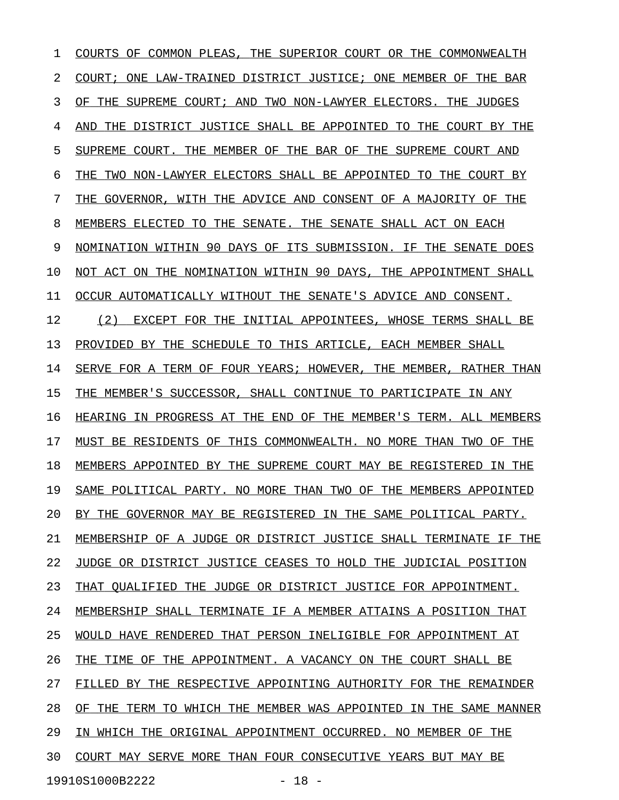1 COURTS OF COMMON PLEAS, THE SUPERIOR COURT OR THE COMMONWEALTH 2 COURT; ONE LAW-TRAINED DISTRICT JUSTICE; ONE MEMBER OF THE BAR 3 OF THE SUPREME COURT; AND TWO NON-LAWYER ELECTORS. THE JUDGES 4 AND THE DISTRICT JUSTICE SHALL BE APPOINTED TO THE COURT BY THE 5 SUPREME COURT. THE MEMBER OF THE BAR OF THE SUPREME COURT AND 6 THE TWO NON-LAWYER ELECTORS SHALL BE APPOINTED TO THE COURT BY 7 THE GOVERNOR, WITH THE ADVICE AND CONSENT OF A MAJORITY OF THE 8 MEMBERS ELECTED TO THE SENATE. THE SENATE SHALL ACT ON EACH 9 NOMINATION WITHIN 90 DAYS OF ITS SUBMISSION. IF THE SENATE DOES 10 NOT ACT ON THE NOMINATION WITHIN 90 DAYS, THE APPOINTMENT SHALL 11 OCCUR AUTOMATICALLY WITHOUT THE SENATE'S ADVICE AND CONSENT. 12 (2) EXCEPT FOR THE INITIAL APPOINTEES, WHOSE TERMS SHALL BE 13 PROVIDED BY THE SCHEDULE TO THIS ARTICLE, EACH MEMBER SHALL 14 SERVE FOR A TERM OF FOUR YEARS; HOWEVER, THE MEMBER, RATHER THAN 15 THE MEMBER'S SUCCESSOR, SHALL CONTINUE TO PARTICIPATE IN ANY 16 HEARING IN PROGRESS AT THE END OF THE MEMBER'S TERM. ALL MEMBERS 17 MUST BE RESIDENTS OF THIS COMMONWEALTH. NO MORE THAN TWO OF THE 18 MEMBERS APPOINTED BY THE SUPREME COURT MAY BE REGISTERED IN THE 19 SAME POLITICAL PARTY. NO MORE THAN TWO OF THE MEMBERS APPOINTED 20 BY THE GOVERNOR MAY BE REGISTERED IN THE SAME POLITICAL PARTY. 21 MEMBERSHIP OF A JUDGE OR DISTRICT JUSTICE SHALL TERMINATE IF THE 22 JUDGE OR DISTRICT JUSTICE CEASES TO HOLD THE JUDICIAL POSITION 23 THAT QUALIFIED THE JUDGE OR DISTRICT JUSTICE FOR APPOINTMENT. 24 MEMBERSHIP SHALL TERMINATE IF A MEMBER ATTAINS A POSITION THAT 25 WOULD HAVE RENDERED THAT PERSON INELIGIBLE FOR APPOINTMENT AT 26 THE TIME OF THE APPOINTMENT. A VACANCY ON THE COURT SHALL BE 27 FILLED BY THE RESPECTIVE APPOINTING AUTHORITY FOR THE REMAINDER 28 OF THE TERM TO WHICH THE MEMBER WAS APPOINTED IN THE SAME MANNER 29 IN WHICH THE ORIGINAL APPOINTMENT OCCURRED. NO MEMBER OF THE 30 COURT MAY SERVE MORE THAN FOUR CONSECUTIVE YEARS BUT MAY BE 19910S1000B2222 - 18 -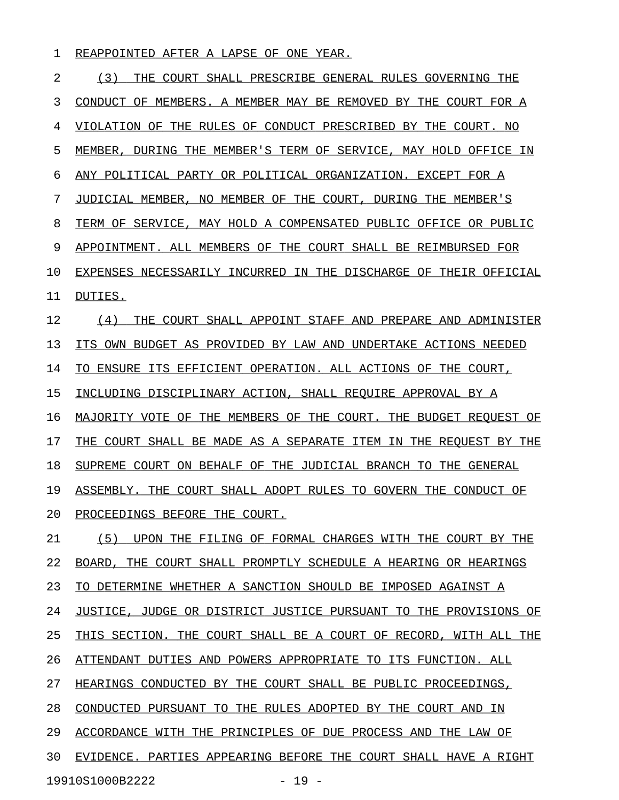### 1 REAPPOINTED AFTER A LAPSE OF ONE YEAR.

| 2  | (3)<br>THE COURT SHALL PRESCRIBE GENERAL RULES GOVERNING THE     |
|----|------------------------------------------------------------------|
| 3  | CONDUCT OF MEMBERS. A MEMBER MAY BE REMOVED BY THE COURT FOR A   |
| 4  | VIOLATION OF THE RULES OF CONDUCT PRESCRIBED BY THE COURT. NO    |
| 5  | MEMBER, DURING THE MEMBER'S TERM OF SERVICE, MAY HOLD OFFICE IN  |
| 6  | ANY POLITICAL PARTY OR POLITICAL ORGANIZATION. EXCEPT FOR A      |
| 7  | JUDICIAL MEMBER, NO MEMBER OF THE COURT, DURING THE MEMBER'S     |
| 8  | TERM OF SERVICE, MAY HOLD A COMPENSATED PUBLIC OFFICE OR PUBLIC  |
| 9  | APPOINTMENT. ALL MEMBERS OF THE COURT SHALL BE REIMBURSED FOR    |
| 10 | EXPENSES NECESSARILY INCURRED IN THE DISCHARGE OF THEIR OFFICIAL |
| 11 | DUTIES.                                                          |
| 12 | (4)<br>THE COURT SHALL APPOINT STAFF AND PREPARE AND ADMINISTER  |
| 13 | ITS OWN BUDGET AS PROVIDED BY LAW AND UNDERTAKE ACTIONS NEEDED   |
| 14 | TO ENSURE ITS EFFICIENT OPERATION. ALL ACTIONS OF THE COURT,     |
| 15 | INCLUDING DISCIPLINARY ACTION, SHALL REQUIRE APPROVAL BY A       |
| 16 | MAJORITY VOTE OF THE MEMBERS OF THE COURT. THE BUDGET REOUEST OF |
| 17 | THE COURT SHALL BE MADE AS A SEPARATE ITEM IN THE REOUEST BY THE |
| 18 | SUPREME COURT ON BEHALF OF THE JUDICIAL BRANCH TO THE GENERAL    |
| 19 | ASSEMBLY. THE COURT SHALL ADOPT RULES TO GOVERN THE CONDUCT OF   |
| 20 | PROCEEDINGS BEFORE THE COURT.                                    |
| 21 | (5) UPON THE FILING OF FORMAL CHARGES WITH THE COURT BY THE      |
| 22 | BOARD, THE COURT SHALL PROMPTLY SCHEDULE A HEARING OR HEARINGS   |
| 23 | TO DETERMINE WHETHER A SANCTION SHOULD BE IMPOSED AGAINST A      |
| 24 | JUSTICE, JUDGE OR DISTRICT JUSTICE PURSUANT TO THE PROVISIONS OF |
| 25 | THIS SECTION. THE COURT SHALL BE A COURT OF RECORD, WITH ALL THE |
| 26 | ATTENDANT DUTIES AND POWERS APPROPRIATE TO ITS FUNCTION. ALL     |
| 27 | HEARINGS CONDUCTED BY THE COURT SHALL BE PUBLIC PROCEEDINGS,     |
| 28 | CONDUCTED PURSUANT TO THE RULES ADOPTED BY THE COURT AND IN      |
| 29 | ACCORDANCE WITH THE PRINCIPLES OF DUE PROCESS AND THE LAW OF     |
| 30 | EVIDENCE. PARTIES APPEARING BEFORE THE COURT SHALL HAVE A RIGHT  |
|    | 19910S1000B2222<br>$-19 -$                                       |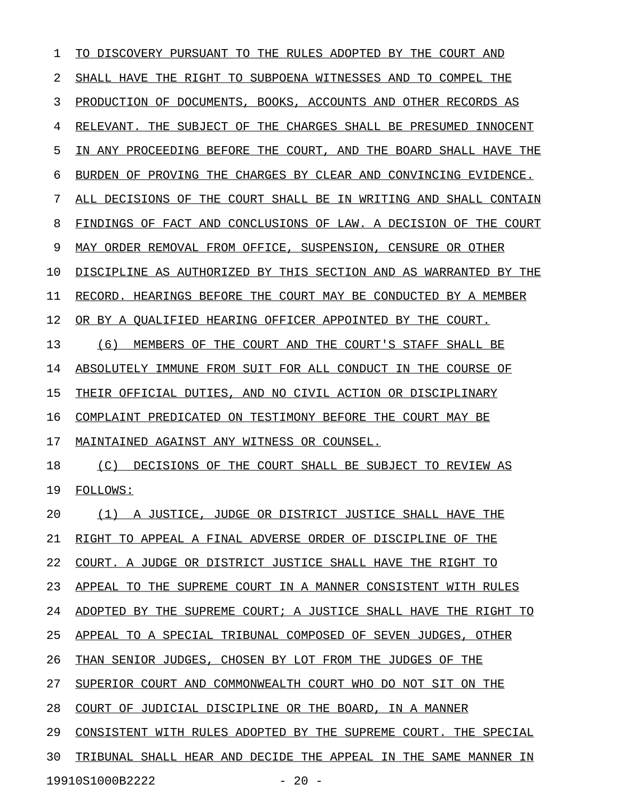$1$  TO DISCOVERY PURSUANT TO THE RULES ADOPTED BY THE COURT AND 2 SHALL HAVE THE RIGHT TO SUBPOENA WITNESSES AND TO COMPEL THE 3 PRODUCTION OF DOCUMENTS, BOOKS, ACCOUNTS AND OTHER RECORDS AS 4 RELEVANT. THE SUBJECT OF THE CHARGES SHALL BE PRESUMED INNOCENT 5 IN ANY PROCEEDING BEFORE THE COURT, AND THE BOARD SHALL HAVE THE 6 BURDEN OF PROVING THE CHARGES BY CLEAR AND CONVINCING EVIDENCE. 7 ALL DECISIONS OF THE COURT SHALL BE IN WRITING AND SHALL CONTAIN 8 FINDINGS OF FACT AND CONCLUSIONS OF LAW. A DECISION OF THE COURT 9 MAY ORDER REMOVAL FROM OFFICE, SUSPENSION, CENSURE OR OTHER 10 DISCIPLINE AS AUTHORIZED BY THIS SECTION AND AS WARRANTED BY THE 11 RECORD. HEARINGS BEFORE THE COURT MAY BE CONDUCTED BY A MEMBER 12 OR BY A QUALIFIED HEARING OFFICER APPOINTED BY THE COURT. 13 (6) MEMBERS OF THE COURT AND THE COURT'S STAFF SHALL BE 14 ABSOLUTELY IMMUNE FROM SUIT FOR ALL CONDUCT IN THE COURSE OF 15 THEIR OFFICIAL DUTIES, AND NO CIVIL ACTION OR DISCIPLINARY 16 COMPLAINT PREDICATED ON TESTIMONY BEFORE THE COURT MAY BE 17 MAINTAINED AGAINST ANY WITNESS OR COUNSEL. 18 (C) DECISIONS OF THE COURT SHALL BE SUBJECT TO REVIEW AS 19 FOLLOWS: 20  $(1)$  A JUSTICE, JUDGE OR DISTRICT JUSTICE SHALL HAVE THE 21 RIGHT TO APPEAL A FINAL ADVERSE ORDER OF DISCIPLINE OF THE 22 COURT. A JUDGE OR DISTRICT JUSTICE SHALL HAVE THE RIGHT TO 23 APPEAL TO THE SUPREME COURT IN A MANNER CONSISTENT WITH RULES 24 ADOPTED BY THE SUPREME COURT; A JUSTICE SHALL HAVE THE RIGHT TO 25 APPEAL TO A SPECIAL TRIBUNAL COMPOSED OF SEVEN JUDGES, OTHER 26 THAN SENIOR JUDGES, CHOSEN BY LOT FROM THE JUDGES OF THE 27 SUPERIOR COURT AND COMMONWEALTH COURT WHO DO NOT SIT ON THE 28 COURT OF JUDICIAL DISCIPLINE OR THE BOARD, IN A MANNER 29 CONSISTENT WITH RULES ADOPTED BY THE SUPREME COURT. THE SPECIAL 30 TRIBUNAL SHALL HEAR AND DECIDE THE APPEAL IN THE SAME MANNER IN

19910S1000B2222 - 20 -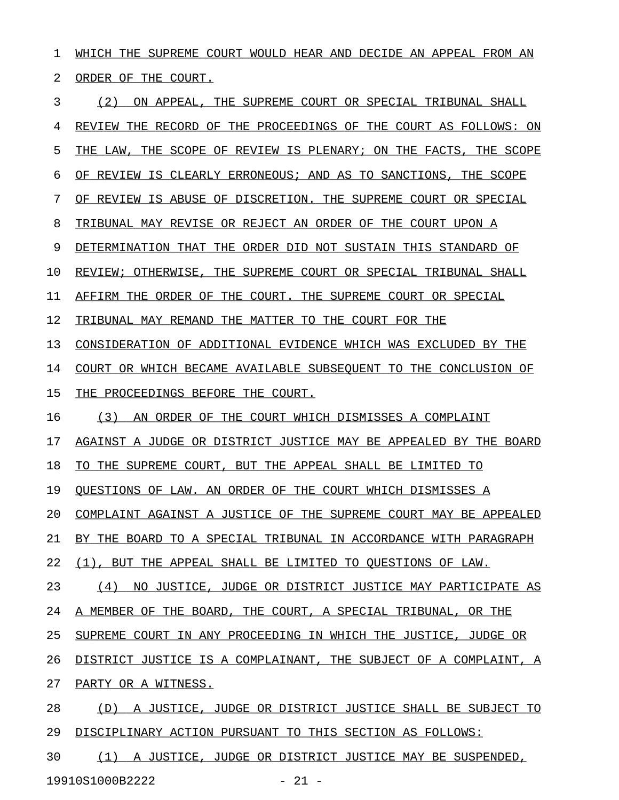1 WHICH THE SUPREME COURT WOULD HEAR AND DECIDE AN APPEAL FROM AN 2 ORDER OF THE COURT. 3 (2) ON APPEAL, THE SUPREME COURT OR SPECIAL TRIBUNAL SHALL 4 REVIEW THE RECORD OF THE PROCEEDINGS OF THE COURT AS FOLLOWS: ON 5 THE LAW, THE SCOPE OF REVIEW IS PLENARY; ON THE FACTS, THE SCOPE 6 OF REVIEW IS CLEARLY ERRONEOUS; AND AS TO SANCTIONS, THE SCOPE 7 OF REVIEW IS ABUSE OF DISCRETION. THE SUPREME COURT OR SPECIAL 8 TRIBUNAL MAY REVISE OR REJECT AN ORDER OF THE COURT UPON A 9 DETERMINATION THAT THE ORDER DID NOT SUSTAIN THIS STANDARD OF 10 REVIEW; OTHERWISE, THE SUPREME COURT OR SPECIAL TRIBUNAL SHALL 11 AFFIRM THE ORDER OF THE COURT. THE SUPREME COURT OR SPECIAL 12 TRIBUNAL MAY REMAND THE MATTER TO THE COURT FOR THE 13 CONSIDERATION OF ADDITIONAL EVIDENCE WHICH WAS EXCLUDED BY THE 14 COURT OR WHICH BECAME AVAILABLE SUBSEQUENT TO THE CONCLUSION OF 15 THE PROCEEDINGS BEFORE THE COURT. 16 (3) AN ORDER OF THE COURT WHICH DISMISSES A COMPLAINT 17 AGAINST A JUDGE OR DISTRICT JUSTICE MAY BE APPEALED BY THE BOARD 18 TO THE SUPREME COURT, BUT THE APPEAL SHALL BE LIMITED TO 19 QUESTIONS OF LAW. AN ORDER OF THE COURT WHICH DISMISSES A 20 COMPLAINT AGAINST A JUSTICE OF THE SUPREME COURT MAY BE APPEALED 21 BY THE BOARD TO A SPECIAL TRIBUNAL IN ACCORDANCE WITH PARAGRAPH 22 (1), BUT THE APPEAL SHALL BE LIMITED TO QUESTIONS OF LAW. 23 (4) NO JUSTICE, JUDGE OR DISTRICT JUSTICE MAY PARTICIPATE AS 24 A MEMBER OF THE BOARD, THE COURT, A SPECIAL TRIBUNAL, OR THE 25 SUPREME COURT IN ANY PROCEEDING IN WHICH THE JUSTICE, JUDGE OR 26 DISTRICT JUSTICE IS A COMPLAINANT, THE SUBJECT OF A COMPLAINT, A 27 PARTY OR A WITNESS. 28 (D) A JUSTICE, JUDGE OR DISTRICT JUSTICE SHALL BE SUBJECT TO

29 DISCIPLINARY ACTION PURSUANT TO THIS SECTION AS FOLLOWS:

30 (1) A JUSTICE, JUDGE OR DISTRICT JUSTICE MAY BE SUSPENDED, 19910S1000B2222 - 21 -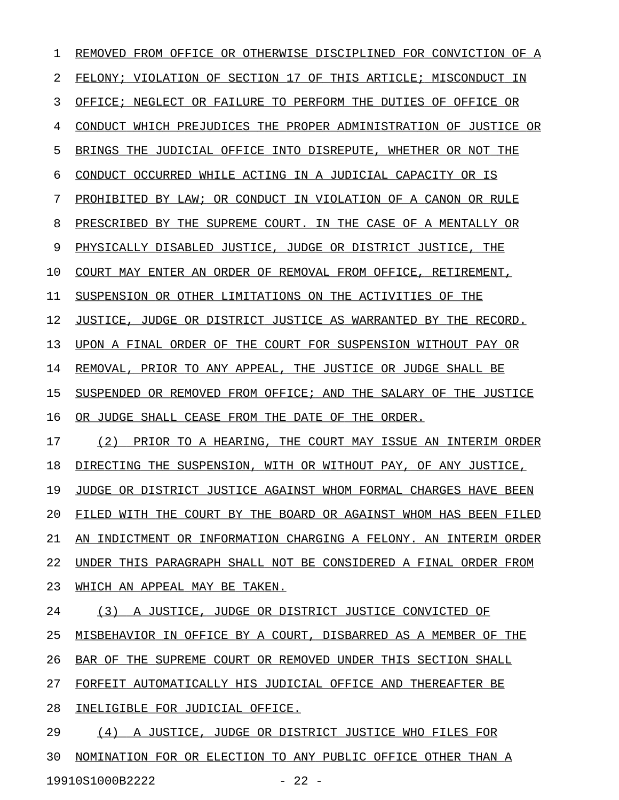1 REMOVED FROM OFFICE OR OTHERWISE DISCIPLINED FOR CONVICTION OF A 2 FELONY; VIOLATION OF SECTION 17 OF THIS ARTICLE; MISCONDUCT IN 3 OFFICE; NEGLECT OR FAILURE TO PERFORM THE DUTIES OF OFFICE OR 4 CONDUCT WHICH PREJUDICES THE PROPER ADMINISTRATION OF JUSTICE OR 5 BRINGS THE JUDICIAL OFFICE INTO DISREPUTE, WHETHER OR NOT THE 6 CONDUCT OCCURRED WHILE ACTING IN A JUDICIAL CAPACITY OR IS 7 PROHIBITED BY LAW; OR CONDUCT IN VIOLATION OF A CANON OR RULE 8 PRESCRIBED BY THE SUPREME COURT. IN THE CASE OF A MENTALLY OR 9 PHYSICALLY DISABLED JUSTICE, JUDGE OR DISTRICT JUSTICE, THE 10 COURT MAY ENTER AN ORDER OF REMOVAL FROM OFFICE, RETIREMENT, 11 SUSPENSION OR OTHER LIMITATIONS ON THE ACTIVITIES OF THE 12 JUSTICE, JUDGE OR DISTRICT JUSTICE AS WARRANTED BY THE RECORD. 13 UPON A FINAL ORDER OF THE COURT FOR SUSPENSION WITHOUT PAY OR 14 REMOVAL, PRIOR TO ANY APPEAL, THE JUSTICE OR JUDGE SHALL BE 15 SUSPENDED OR REMOVED FROM OFFICE; AND THE SALARY OF THE JUSTICE 16 OR JUDGE SHALL CEASE FROM THE DATE OF THE ORDER. 17 (2) PRIOR TO A HEARING, THE COURT MAY ISSUE AN INTERIM ORDER 18 DIRECTING THE SUSPENSION, WITH OR WITHOUT PAY, OF ANY JUSTICE, 19 JUDGE OR DISTRICT JUSTICE AGAINST WHOM FORMAL CHARGES HAVE BEEN 20 FILED WITH THE COURT BY THE BOARD OR AGAINST WHOM HAS BEEN FILED 21 AN INDICTMENT OR INFORMATION CHARGING A FELONY. AN INTERIM ORDER 22 UNDER THIS PARAGRAPH SHALL NOT BE CONSIDERED A FINAL ORDER FROM 23 WHICH AN APPEAL MAY BE TAKEN. 24 (3) A JUSTICE, JUDGE OR DISTRICT JUSTICE CONVICTED OF 25 MISBEHAVIOR IN OFFICE BY A COURT, DISBARRED AS A MEMBER OF THE 26 BAR OF THE SUPREME COURT OR REMOVED UNDER THIS SECTION SHALL 27 FORFEIT AUTOMATICALLY HIS JUDICIAL OFFICE AND THEREAFTER BE 28 INELIGIBLE FOR JUDICIAL OFFICE. 29 (4) A JUSTICE, JUDGE OR DISTRICT JUSTICE WHO FILES FOR 30 NOMINATION FOR OR ELECTION TO ANY PUBLIC OFFICE OTHER THAN A 19910S1000B2222 - 22 -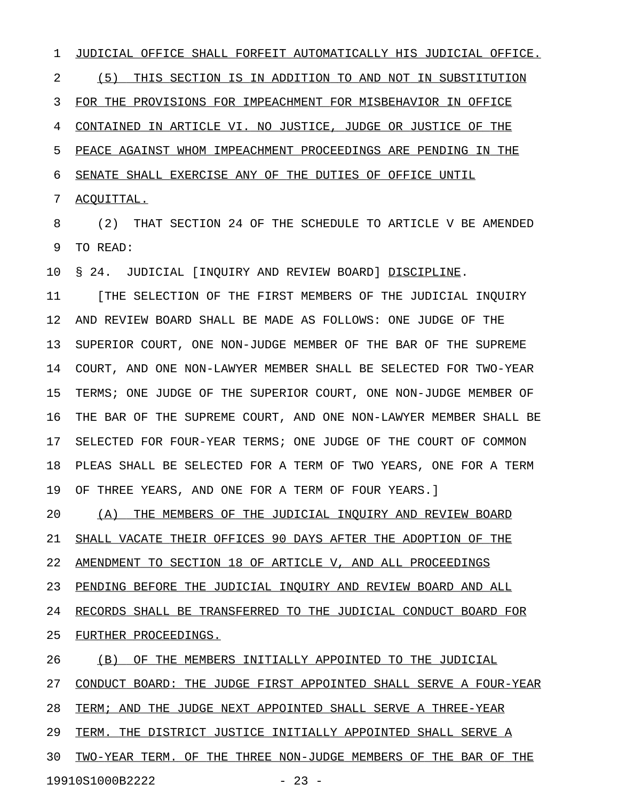1 JUDICIAL OFFICE SHALL FORFEIT AUTOMATICALLY HIS JUDICIAL OFFICE. 2 (5) THIS SECTION IS IN ADDITION TO AND NOT IN SUBSTITUTION 3 FOR THE PROVISIONS FOR IMPEACHMENT FOR MISBEHAVIOR IN OFFICE 4 CONTAINED IN ARTICLE VI. NO JUSTICE, JUDGE OR JUSTICE OF THE 5 PEACE AGAINST WHOM IMPEACHMENT PROCEEDINGS ARE PENDING IN THE 6 SENATE SHALL EXERCISE ANY OF THE DUTIES OF OFFICE UNTIL 7 ACQUITTAL.

8 (2) THAT SECTION 24 OF THE SCHEDULE TO ARTICLE V BE AMENDED 9 TO READ:

10 § 24. JUDICIAL [INQUIRY AND REVIEW BOARD] DISCIPLINE.

11 [THE SELECTION OF THE FIRST MEMBERS OF THE JUDICIAL INQUIRY 12 AND REVIEW BOARD SHALL BE MADE AS FOLLOWS: ONE JUDGE OF THE 13 SUPERIOR COURT, ONE NON-JUDGE MEMBER OF THE BAR OF THE SUPREME 14 COURT, AND ONE NON-LAWYER MEMBER SHALL BE SELECTED FOR TWO-YEAR 15 TERMS; ONE JUDGE OF THE SUPERIOR COURT, ONE NON-JUDGE MEMBER OF 16 THE BAR OF THE SUPREME COURT, AND ONE NON-LAWYER MEMBER SHALL BE 17 SELECTED FOR FOUR-YEAR TERMS; ONE JUDGE OF THE COURT OF COMMON 18 PLEAS SHALL BE SELECTED FOR A TERM OF TWO YEARS, ONE FOR A TERM 19 OF THREE YEARS, AND ONE FOR A TERM OF FOUR YEARS.]

20 (A) THE MEMBERS OF THE JUDICIAL INQUIRY AND REVIEW BOARD 21 SHALL VACATE THEIR OFFICES 90 DAYS AFTER THE ADOPTION OF THE 22 AMENDMENT TO SECTION 18 OF ARTICLE V, AND ALL PROCEEDINGS 23 PENDING BEFORE THE JUDICIAL INQUIRY AND REVIEW BOARD AND ALL 24 RECORDS SHALL BE TRANSFERRED TO THE JUDICIAL CONDUCT BOARD FOR 25 FURTHER PROCEEDINGS.

26 (B) OF THE MEMBERS INITIALLY APPOINTED TO THE JUDICIAL 27 CONDUCT BOARD: THE JUDGE FIRST APPOINTED SHALL SERVE A FOUR-YEAR 28 TERM; AND THE JUDGE NEXT APPOINTED SHALL SERVE A THREE-YEAR 29 TERM. THE DISTRICT JUSTICE INITIALLY APPOINTED SHALL SERVE A 30 TWO-YEAR TERM. OF THE THREE NON-JUDGE MEMBERS OF THE BAR OF THE 19910S1000B2222 - 23 -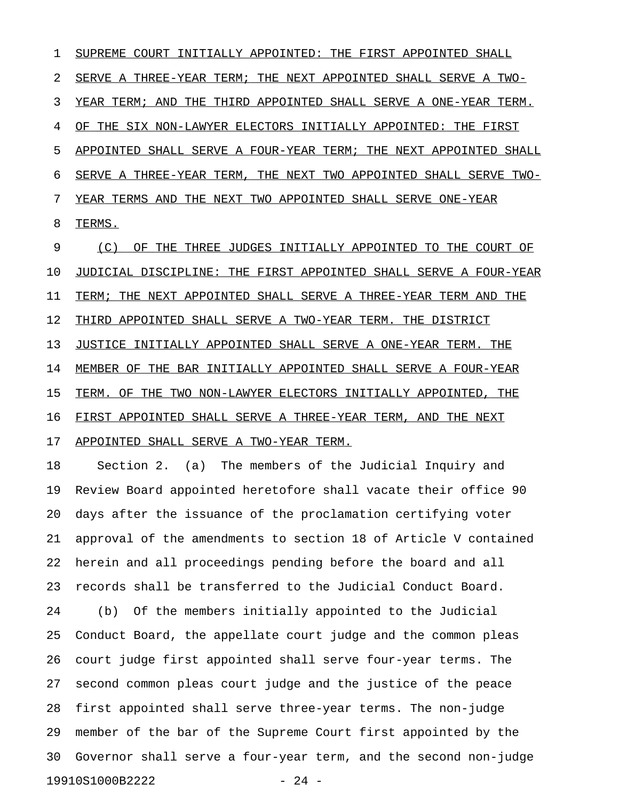1 SUPREME COURT INITIALLY APPOINTED: THE FIRST APPOINTED SHALL 2 SERVE A THREE-YEAR TERM; THE NEXT APPOINTED SHALL SERVE A TWO-3 YEAR TERM; AND THE THIRD APPOINTED SHALL SERVE A ONE-YEAR TERM. 4 OF THE SIX NON-LAWYER ELECTORS INITIALLY APPOINTED: THE FIRST 5 APPOINTED SHALL SERVE A FOUR-YEAR TERM; THE NEXT APPOINTED SHALL 6 SERVE A THREE-YEAR TERM, THE NEXT TWO APPOINTED SHALL SERVE TWO-7 YEAR TERMS AND THE NEXT TWO APPOINTED SHALL SERVE ONE-YEAR 8 TERMS.

9 (C) OF THE THREE JUDGES INITIALLY APPOINTED TO THE COURT OF 10 JUDICIAL DISCIPLINE: THE FIRST APPOINTED SHALL SERVE A FOUR-YEAR 11 TERM; THE NEXT APPOINTED SHALL SERVE A THREE-YEAR TERM AND THE 12 THIRD APPOINTED SHALL SERVE A TWO-YEAR TERM. THE DISTRICT 13 JUSTICE INITIALLY APPOINTED SHALL SERVE A ONE-YEAR TERM. THE 14 MEMBER OF THE BAR INITIALLY APPOINTED SHALL SERVE A FOUR-YEAR 15 TERM. OF THE TWO NON-LAWYER ELECTORS INITIALLY APPOINTED, THE 16 FIRST APPOINTED SHALL SERVE A THREE-YEAR TERM, AND THE NEXT 17 APPOINTED SHALL SERVE A TWO-YEAR TERM.

18 Section 2. (a) The members of the Judicial Inquiry and 19 Review Board appointed heretofore shall vacate their office 90 20 days after the issuance of the proclamation certifying voter 21 approval of the amendments to section 18 of Article V contained 22 herein and all proceedings pending before the board and all 23 records shall be transferred to the Judicial Conduct Board. 24 (b) Of the members initially appointed to the Judicial 25 Conduct Board, the appellate court judge and the common pleas 26 court judge first appointed shall serve four-year terms. The 27 second common pleas court judge and the justice of the peace 28 first appointed shall serve three-year terms. The non-judge 29 member of the bar of the Supreme Court first appointed by the 30 Governor shall serve a four-year term, and the second non-judge 19910S1000B2222 - 24 -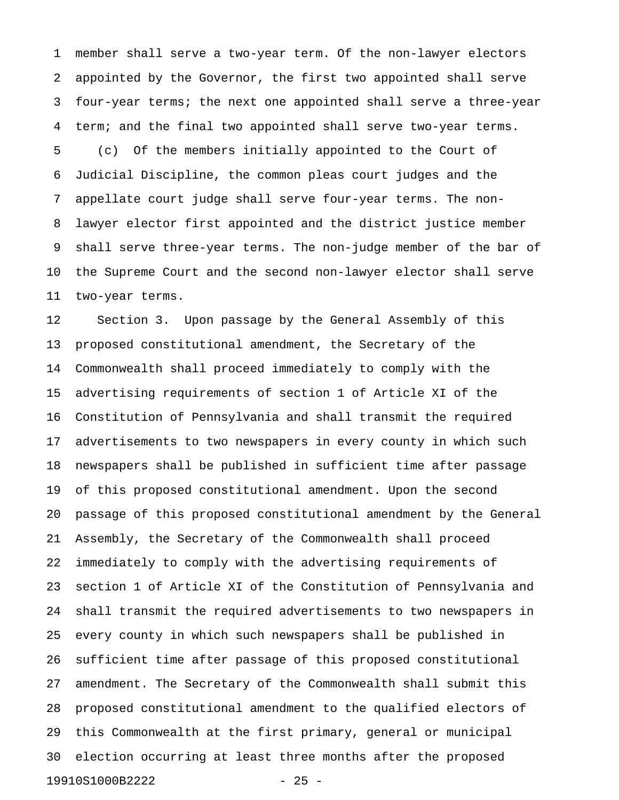1 member shall serve a two-year term. Of the non-lawyer electors 2 appointed by the Governor, the first two appointed shall serve 3 four-year terms; the next one appointed shall serve a three-year 4 term; and the final two appointed shall serve two-year terms. 5 (c) Of the members initially appointed to the Court of 6 Judicial Discipline, the common pleas court judges and the 7 appellate court judge shall serve four-year terms. The non-8 lawyer elector first appointed and the district justice member 9 shall serve three-year terms. The non-judge member of the bar of 10 the Supreme Court and the second non-lawyer elector shall serve 11 two-year terms.

12 Section 3. Upon passage by the General Assembly of this 13 proposed constitutional amendment, the Secretary of the 14 Commonwealth shall proceed immediately to comply with the 15 advertising requirements of section 1 of Article XI of the 16 Constitution of Pennsylvania and shall transmit the required 17 advertisements to two newspapers in every county in which such 18 newspapers shall be published in sufficient time after passage 19 of this proposed constitutional amendment. Upon the second 20 passage of this proposed constitutional amendment by the General 21 Assembly, the Secretary of the Commonwealth shall proceed 22 immediately to comply with the advertising requirements of 23 section 1 of Article XI of the Constitution of Pennsylvania and 24 shall transmit the required advertisements to two newspapers in 25 every county in which such newspapers shall be published in 26 sufficient time after passage of this proposed constitutional 27 amendment. The Secretary of the Commonwealth shall submit this 28 proposed constitutional amendment to the qualified electors of 29 this Commonwealth at the first primary, general or municipal 30 election occurring at least three months after the proposed 19910S1000B2222 - 25 -